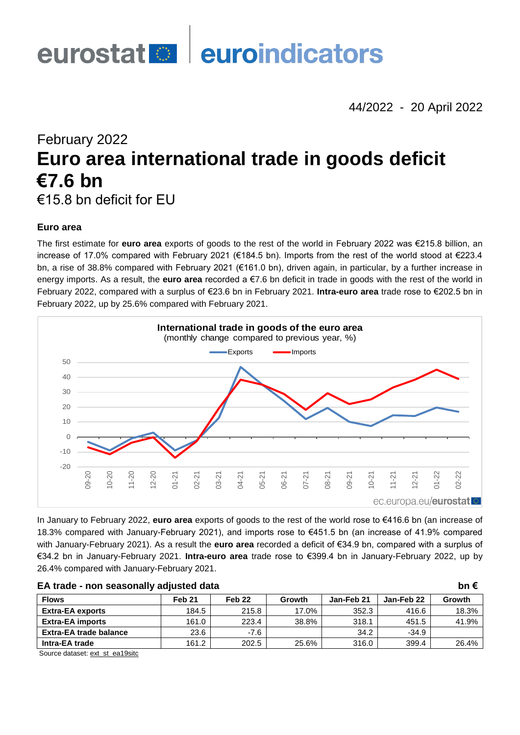

44/2022 - 20 April 2022

February 2022

# **Euro area international trade in goods deficit €7.6 bn**

€15.8 bn deficit for EU

# **Euro area**

The first estimate for **euro area** exports of goods to the rest of the world in February 2022 was €215.8 billion, an increase of 17.0% compared with February 2021 (€184.5 bn). Imports from the rest of the world stood at €223.4 bn, a rise of 38.8% compared with February 2021 (€161.0 bn), driven again, in particular, by a further increase in energy imports. As a result, the **euro area** recorded a €7.6 bn deficit in trade in goods with the rest of the world in February 2022, compared with a surplus of €23.6 bn in February 2021. **Intra-euro area** trade rose to €202.5 bn in February 2022, up by 25.6% compared with February 2021.



In January to February 2022, **euro area** exports of goods to the rest of the world rose to €416.6 bn (an increase of 18.3% compared with January-February 2021), and imports rose to €451.5 bn (an increase of 41.9% compared with January-February 2021). As a result the **euro area** recorded a deficit of €34.9 bn, compared with a surplus of €34.2 bn in January-February 2021. **Intra-euro area** trade rose to €399.4 bn in January-February 2022, up by 26.4% compared with January-February 2021.

| EA trade - non seasonally adjusted data |        |                   |        |            |            | bn $\epsilon$ |
|-----------------------------------------|--------|-------------------|--------|------------|------------|---------------|
| <b>Flows</b>                            | Feb 21 | Feb <sub>22</sub> | Growth | Jan-Feb 21 | Jan-Feb 22 | <b>Growth</b> |
| <b>Extra-EA exports</b>                 | 184.5  | 215.8             | 17.0%  | 352.3      | 416.6      | 18.3%         |
| <b>Extra-EA imports</b>                 | 161.0  | 223.4             | 38.8%  | 318.1      | 451.5      | 41.9%         |
| <b>Extra-EA trade balance</b>           | 23.6   | $-7.6$            |        | 34.2       | $-34.9$    |               |
| Intra-EA trade                          | 161.2  | 202.5             | 25.6%  | 316.0      | 399.4      | 26.4%         |

Source dataset[: ext\\_st\\_ea19sitc](https://ec.europa.eu/eurostat/databrowser/bookmark/7502e30e-ab15-48fd-ac70-df005ecba125?lang=en)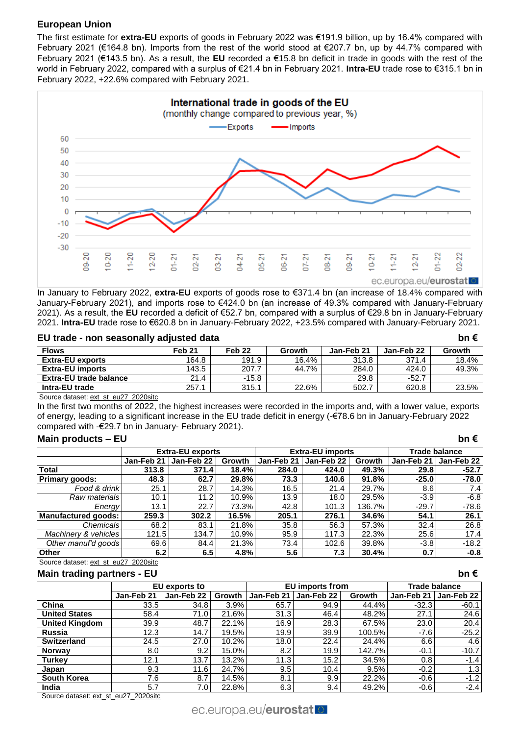# **European Union**

The first estimate for **extra-EU** exports of goods in February 2022 was €191.9 billion, up by 16.4% compared with February 2021 (€164.8 bn). Imports from the rest of the world stood at €207.7 bn, up by 44.7% compared with February 2021 (€143.5 bn). As a result, the **EU** recorded a €15.8 bn deficit in trade in goods with the rest of the world in February 2022, compared with a surplus of €21.4 bn in February 2021. **Intra-EU** trade rose to €315.1 bn in February 2022, +22.6% compared with February 2021.



In January to February 2022, **extra-EU** exports of goods rose to €371.4 bn (an increase of 18.4% compared with January-February 2021), and imports rose to €424.0 bn (an increase of 49.3% compared with January-February 2021). As a result, the **EU** recorded a deficit of €52.7 bn, compared with a surplus of €29.8 bn in January-February 2021. **Intra-EU** trade rose to €620.8 bn in January-February 2022, +23.5% compared with January-February 2021.

# **EU trade - non seasonally adjusted data bn €**

| <b>Flows</b>            | Feb 21 | Feb <sub>22</sub> | Growth | Jan-Feb 21 | Jan-Feb 22 | Growth |
|-------------------------|--------|-------------------|--------|------------|------------|--------|
| <b>Extra-EU exports</b> | 164.8  | 191.9             | 16.4%  | 313.8      | 371.4      | 18.4%  |
| <b>Extra-EU imports</b> | 143.5  | 207.7             | 44.7%  | 284.0      | 424.0      | 49.3%  |
| Extra-EU trade balance  | 21.4   | $-15.8$           |        | 29.8       | $-52.7$    |        |
| Intra-EU trade          | 257.1  | 315.1             | 22.6%  | 502.7      | 620.8      | 23.5%  |

Source dataset: [ext\\_st\\_eu27\\_2020sitc](https://ec.europa.eu/eurostat/databrowser/bookmark/43ce6c0c-6e72-4057-9a35-0abc949e4e4c?lang=en)

In the first two months of 2022, the highest increases were recorded in the imports and, with a lower value, exports of energy, leading to a significant increase in the EU trade deficit in energy (-€78.6 bn in January-February 2022 compared with -€29.7 bn in January- February 2021).

## **Main products – EU bn €**

|                       |            | <b>Extra-EU exports</b> |        |            | <b>Extra-EU imports</b> |        | Trade balance |            |  |
|-----------------------|------------|-------------------------|--------|------------|-------------------------|--------|---------------|------------|--|
|                       | Jan-Feb 21 | Jan-Feb 22              | Growth | Jan-Feb 21 | Jan-Feb 22              | Growth | Jan-Feb 21    | Jan-Feb 22 |  |
| Total                 | 313.8      | 371.4                   | 18.4%  | 284.0      | 424.0                   | 49.3%  | 29.8          | $-52.7$    |  |
| <b>Primary goods:</b> | 48.3       | 62.7                    | 29.8%  | 73.3       | 140.6                   | 91.8%  | $-25.0$       | $-78.0$    |  |
| Food & drinkl         | 25.1       | 28.7                    | 14.3%  | 16.5       | 21.4                    | 29.7%  | 8.6           | 7.4        |  |
| Raw materials         | 10.1       | 11.2                    | 10.9%  | 13.9       | 18.0                    | 29.5%  | $-3.9$        | $-6.8$     |  |
| Energy                | 13.1       | 22.7                    | 73.3%  | 42.8       | 101.3                   | 136.7% | $-29.7$       | $-78.6$    |  |
| Manufactured goods:   | 259.3      | 302.2                   | 16.5%  | 205.1      | 276.1                   | 34.6%  | 54.1          | 26.1       |  |
| Chemicals             | 68.2       | 83.1                    | 21.8%  | 35.8       | 56.3                    | 57.3%  | 32.4          | 26.8       |  |
| Machinery & vehicles  | 121.5      | 134.7                   | 10.9%  | 95.9       | 117.3                   | 22.3%  | 25.6          | 17.4       |  |
| Other manuf'd goods   | 69.6       | 84.4                    | 21.3%  | 73.4       | 102.6                   | 39.8%  | $-3.8$        | $-18.2$    |  |
| <b>Other</b>          | 6.2        | 6.5                     | 4.8%   | 5.6        | 7.3                     | 30.4%  | 0.7           | $-0.8$     |  |

#### Source dataset: [ext\\_st\\_eu27\\_2020sitc](https://ec.europa.eu/eurostat/databrowser/bookmark/22965f73-a536-4101-b6c3-f160f2e01e1c?lang=en) **Main trading partners - EU bn €**

| ---- -- -- <i>-----</i> -- -- -- - |            |               |               |            |                        |               |            |               |
|------------------------------------|------------|---------------|---------------|------------|------------------------|---------------|------------|---------------|
|                                    |            | EU exports to |               |            | <b>EU</b> imports from |               |            | Trade balance |
|                                    | Jan-Feb 21 | Jan-Feb 22    | <b>Growth</b> | Jan-Feb 21 | Jan-Feb 22             | <b>Growth</b> | Jan-Feb 21 | Jan-Feb 22    |
| China                              | 33.5       | 34.8          | 3.9%          | 65.7       | 94.9                   | 44.4%         | $-32.3$    | $-60.1$       |
| <b>United States</b>               | 58.4       | 71.0          | 21.6%         | 31.3       | 46.4                   | 48.2%         | 27.1       | 24.6          |
| <b>United Kingdom</b>              | 39.9       | 48.7          | 22.1%         | 16.9       | 28.3                   | 67.5%         | 23.0       | 20.4          |
| <b>Russia</b>                      | 12.3       | 14.7          | 19.5%         | 19.9       | 39.9                   | 100.5%        | $-7.6$     | $-25.2$       |
| <b>Switzerland</b>                 | 24.5       | 27.0          | 10.2%         | 18.0       | 22.4                   | 24.4%         | 6.6        | 4.6           |
| <b>Norway</b>                      | 8.0        | 9.2           | 15.0%         | 8.2        | 19.9                   | 142.7%        | $-0.1$     | $-10.7$       |
| <b>Turkey</b>                      | 12.1       | 13.7          | 13.2%         | 11.3       | 15.2                   | 34.5%         | 0.8        | $-1.4$        |
| Japan                              | 9.3        | 11.6          | 24.7%         | 9.5        | 10.4                   | 9.5%          | $-0.2$     | 1.3           |
| <b>South Korea</b>                 | 7.6        | 8.7           | 14.5%         | 8.1        | 9.9                    | 22.2%         | $-0.6$     | $-1.2$        |
| India                              | 5.7        | 7.0           | 22.8%         | 6.3        | 9.4                    | 49.2%         | $-0.6$     | $-2.4$        |

Source dataset: [ext\\_st\\_eu27\\_2020sitc](https://ec.europa.eu/eurostat/databrowser/bookmark/91f8be98-d920-44a5-9e3a-67a8bd4cba67?lang=en)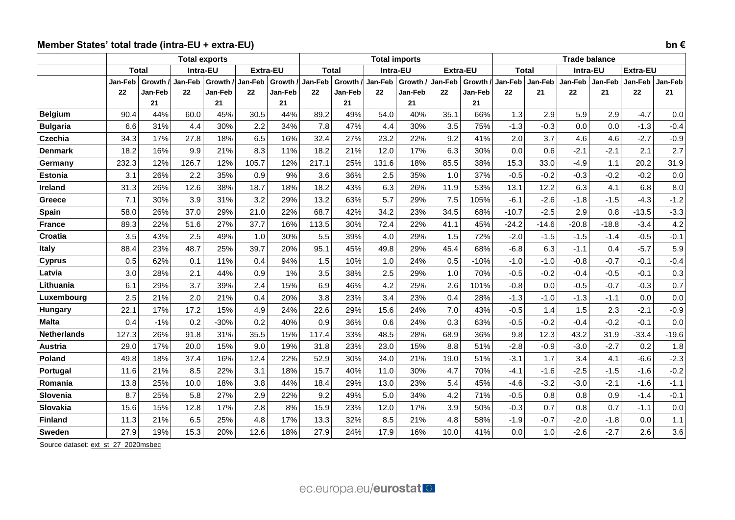# **Member States' total trade (intra-EU + extra-EU) bn €**

|                    |                | <b>Total exports</b> |          |           |          |           |              |           | <b>Total imports</b> |           |         |                 |              | <b>Trade balance</b> |          |         |                 |                |
|--------------------|----------------|----------------------|----------|-----------|----------|-----------|--------------|-----------|----------------------|-----------|---------|-----------------|--------------|----------------------|----------|---------|-----------------|----------------|
|                    |                | <b>Total</b>         | Intra-EU |           | Extra-EU |           | <b>Total</b> |           | Intra-EU             |           |         | <b>Extra-EU</b> | <b>Total</b> |                      | Intra-EU |         | <b>Extra-EU</b> |                |
|                    | <b>Jan-Feb</b> | Growth /             | Jan-Feb  | Growth /  | Jan-Feb  | Growth /  | Jan-Feb      | Growth /  | Jan-Feb              | Growth /  | Jan-Feb | Growth /        | Jan-Feb      | Jan-Feb              | Jan-Feb  | Jan-Feb | Jan-Feb         | <b>Jan-Feb</b> |
|                    | 22             | Jan-Feb              | 22       | Jan-Feb   | 22       | Jan-Feb   | 22           | Jan-Feb   | 22                   | Jan-Feb   | 22      | Jan-Feb         | 22           | 21                   | 22       | 21      | 22              | 21             |
| <b>Belgium</b>     | 90.4           | 21<br>44%            | 60.0     | 21<br>45% | 30.5     | 21<br>44% | 89.2         | 21<br>49% | 54.0                 | 21<br>40% | 35.1    | 21<br>66%       | 1.3          | 2.9                  | 5.9      | 2.9     | $-4.7$          | 0.0            |
| <b>Bulgaria</b>    | 6.6            | 31%                  | 4.4      | 30%       | 2.2      | 34%       | 7.8          | 47%       | 4.4                  | 30%       | 3.5     | 75%             | $-1.3$       | $-0.3$               | 0.0      | 0.0     | $-1.3$          | $-0.4$         |
| Czechia            | 34.3           | 17%                  | 27.8     | 18%       | 6.5      | 16%       | 32.4         | 27%       | 23.2                 | 22%       | 9.2     | 41%             | 2.0          | 3.7                  | 4.6      | 4.6     | $-2.7$          | $-0.9$         |
| <b>Denmark</b>     | 18.2           | 16%                  | 9.9      | 21%       | 8.3      | 11%       | 18.2         | 21%       | 12.0                 | 17%       | 6.3     | 30%             | 0.0          | 0.6                  | $-2.1$   | $-2.1$  | 2.1             | 2.7            |
| Germany            | 232.3          | 12%                  | 126.7    | 12%       | 105.7    | 12%       | 217.1        | 25%       | 131.6                | 18%       | 85.5    | 38%             | 15.3         | 33.0                 | $-4.9$   | 1.1     | 20.2            | 31.9           |
| <b>Estonia</b>     | 3.1            | 26%                  | 2.2      | 35%       | 0.9      | 9%        | 3.6          | 36%       | 2.5                  | 35%       | 1.0     | 37%             | $-0.5$       | $-0.2$               | $-0.3$   | $-0.2$  | $-0.2$          | 0.0            |
| <b>Ireland</b>     | 31.3           | 26%                  | 12.6     | 38%       | 18.7     | 18%       | 18.2         | 43%       | 6.3                  | 26%       | 11.9    | 53%             | 13.1         | 12.2                 | 6.3      | 4.1     | 6.8             | 8.0            |
| Greece             | 7.1            | 30%                  | 3.9      | 31%       | 3.2      | 29%       | 13.2         | 63%       | 5.7                  | 29%       | 7.5     | 105%            | $-6.1$       | $-2.6$               | $-1.8$   | $-1.5$  | $-4.3$          | $-1.2$         |
| Spain              | 58.0           | 26%                  | 37.0     | 29%       | 21.0     | 22%       | 68.7         | 42%       | 34.2                 | 23%       | 34.5    | 68%             | $-10.7$      | $-2.5$               | 2.9      | 0.8     | $-13.5$         | $-3.3$         |
| <b>France</b>      | 89.3           | 22%                  | 51.6     | 27%       | 37.7     | 16%       | 113.5        | 30%       | 72.4                 | 22%       | 41.1    | 45%             | $-24.2$      | $-14.6$              | $-20.8$  | $-18.8$ | $-3.4$          | 4.2            |
| Croatia            | 3.5            | 43%                  | 2.5      | 49%       | 1.0      | 30%       | 5.5          | 39%       | 4.0                  | 29%       | 1.5     | 72%             | $-2.0$       | $-1.5$               | $-1.5$   | $-1.4$  | $-0.5$          | $-0.1$         |
| <b>Italy</b>       | 88.4           | 23%                  | 48.7     | 25%       | 39.7     | 20%       | 95.1         | 45%       | 49.8                 | 29%       | 45.4    | 68%             | $-6.8$       | 6.3                  | $-1.1$   | 0.4     | $-5.7$          | 5.9            |
| <b>Cyprus</b>      | 0.5            | 62%                  | 0.1      | 11%       | 0.4      | 94%       | 1.5          | 10%       | 1.0                  | 24%       | 0.5     | $-10%$          | $-1.0$       | $-1.0$               | $-0.8$   | $-0.7$  | $-0.1$          | $-0.4$         |
| Latvia             | 3.0            | 28%                  | 2.1      | 44%       | 0.9      | 1%        | 3.5          | 38%       | 2.5                  | 29%       | 1.0     | 70%             | $-0.5$       | $-0.2$               | $-0.4$   | $-0.5$  | $-0.1$          | 0.3            |
| Lithuania          | 6.1            | 29%                  | 3.7      | 39%       | 2.4      | 15%       | 6.9          | 46%       | 4.2                  | 25%       | 2.6     | 101%            | $-0.8$       | 0.0                  | $-0.5$   | $-0.7$  | $-0.3$          | 0.7            |
| Luxembourg         | 2.5            | 21%                  | 2.0      | 21%       | 0.4      | 20%       | 3.8          | 23%       | 3.4                  | 23%       | 0.4     | 28%             | $-1.3$       | $-1.0$               | $-1.3$   | $-1.1$  | 0.0             | 0.0            |
| Hungary            | 22.1           | 17%                  | 17.2     | 15%       | 4.9      | 24%       | 22.6         | 29%       | 15.6                 | 24%       | 7.0     | 43%             | $-0.5$       | 1.4                  | 1.5      | 2.3     | $-2.1$          | $-0.9$         |
| <b>Malta</b>       | 0.4            | $-1%$                | 0.2      | $-30%$    | 0.2      | 40%       | 0.9          | 36%       | 0.6                  | 24%       | 0.3     | 63%             | $-0.5$       | $-0.2$               | $-0.4$   | $-0.2$  | $-0.1$          | 0.0            |
| <b>Netherlands</b> | 127.3          | 26%                  | 91.8     | 31%       | 35.5     | 15%       | 117.4        | 33%       | 48.5                 | 28%       | 68.9    | 36%             | 9.8          | 12.3                 | 43.2     | 31.9    | $-33.4$         | $-19.6$        |
| <b>Austria</b>     | 29.0           | 17%                  | 20.0     | 15%       | 9.0      | 19%       | 31.8         | 23%       | 23.0                 | 15%       | 8.8     | 51%             | $-2.8$       | $-0.9$               | $-3.0$   | $-2.7$  | 0.2             | 1.8            |
| Poland             | 49.8           | 18%                  | 37.4     | 16%       | 12.4     | 22%       | 52.9         | 30%       | 34.0                 | 21%       | 19.0    | 51%             | $-3.1$       | 1.7                  | 3.4      | 4.1     | $-6.6$          | $-2.3$         |
| Portugal           | 11.6           | 21%                  | 8.5      | 22%       | 3.1      | 18%       | 15.7         | 40%       | 11.0                 | 30%       | 4.7     | 70%             | $-4.1$       | $-1.6$               | $-2.5$   | $-1.5$  | $-1.6$          | $-0.2$         |
| Romania            | 13.8           | 25%                  | 10.0     | 18%       | 3.8      | 44%       | 18.4         | 29%       | 13.0                 | 23%       | 5.4     | 45%             | $-4.6$       | $-3.2$               | $-3.0$   | $-2.1$  | $-1.6$          | $-1.1$         |
| Slovenia           | 8.7            | 25%                  | 5.8      | 27%       | 2.9      | 22%       | 9.2          | 49%       | 5.0                  | 34%       | 4.2     | 71%             | $-0.5$       | 0.8                  | 0.8      | 0.9     | $-1.4$          | $-0.1$         |
| Slovakia           | 15.6           | 15%                  | 12.8     | 17%       | 2.8      | 8%        | 15.9         | 23%       | 12.0                 | 17%       | 3.9     | 50%             | $-0.3$       | 0.7                  | 0.8      | 0.7     | $-1.1$          | 0.0            |
| <b>Finland</b>     | 11.3           | 21%                  | 6.5      | 25%       | 4.8      | 17%       | 13.3         | 32%       | 8.5                  | 21%       | 4.8     | 58%             | $-1.9$       | $-0.7$               | $-2.0$   | $-1.8$  | 0.0             | 1.1            |
| Sweden             | 27.9           | 19%                  | 15.3     | 20%       | 12.6     | 18%       | 27.9         | 24%       | 17.9                 | 16%       | 10.0    | 41%             | 0.0          | 1.0                  | $-2.6$   | $-2.7$  | 2.6             | 3.6            |

Source dataset[: ext\\_st\\_27\\_2020msbec](https://ec.europa.eu/eurostat/databrowser/bookmark/41735520-8c6a-46e0-85fe-2b0ee8ec6dab?lang=en)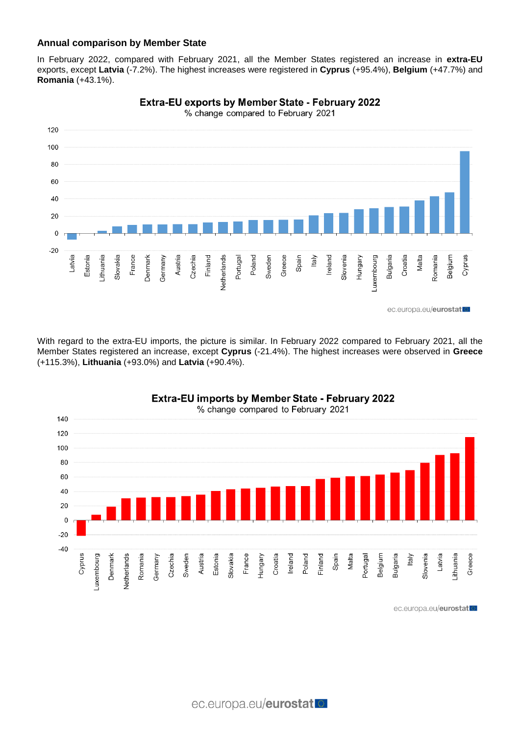# **Annual comparison by Member State**

In February 2022, compared with February 2021, all the Member States registered an increase in **extra-EU** exports, except **Latvia** (-7.2%). The highest increases were registered in **Cyprus** (+95.4%), **Belgium** (+47.7%) and **Romania** (+43.1%).



**Extra-EU exports by Member State - February 2022** 

With regard to the extra-EU imports, the picture is similar. In February 2022 compared to February 2021, all the Member States registered an increase, except **Cyprus** (-21.4%). The highest increases were observed in **Greece** (+115.3%), **Lithuania** (+93.0%) and **Latvia** (+90.4%).





ec.europa.eu/eurostat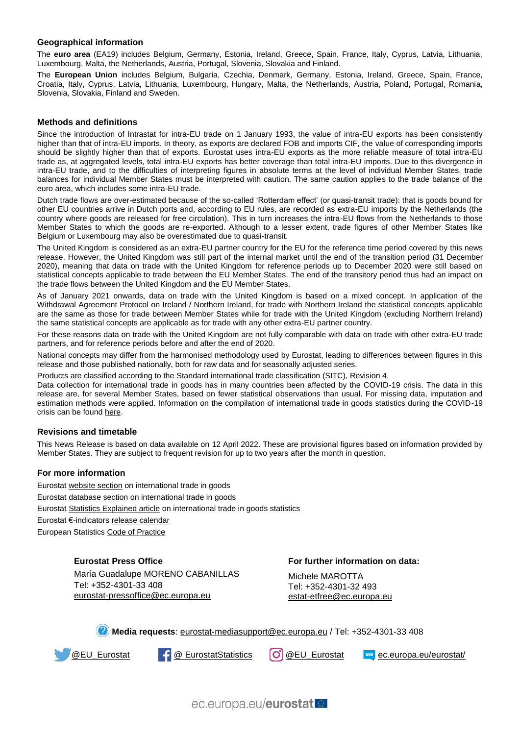#### **Geographical information**

The **euro area** (EA19) includes Belgium, Germany, Estonia, Ireland, Greece, Spain, France, Italy, Cyprus, Latvia, Lithuania, Luxembourg, Malta, the Netherlands, Austria, Portugal, Slovenia, Slovakia and Finland.

The **European Union** includes Belgium, Bulgaria, Czechia, Denmark, Germany, Estonia, Ireland, Greece, Spain, France, Croatia, Italy, Cyprus, Latvia, Lithuania, Luxembourg, Hungary, Malta, the Netherlands, Austria, Poland, Portugal, Romania, Slovenia, Slovakia, Finland and Sweden.

#### **Methods and definitions**

Since the introduction of Intrastat for intra-EU trade on 1 January 1993, the value of intra-EU exports has been consistently higher than that of intra-EU imports. In theory, as exports are declared FOB and imports CIF, the value of corresponding imports should be slightly higher than that of exports. Eurostat uses intra-EU exports as the more reliable measure of total intra-EU trade as, at aggregated levels, total intra-EU exports has better coverage than total intra-EU imports. Due to this divergence in intra-EU trade, and to the difficulties of interpreting figures in absolute terms at the level of individual Member States, trade balances for individual Member States must be interpreted with caution. The same caution applies to the trade balance of the euro area, which includes some intra-EU trade.

Dutch trade flows are over-estimated because of the so-called 'Rotterdam effect' (or quasi-transit trade): that is goods bound for other EU countries arrive in Dutch ports and, according to EU rules, are recorded as extra-EU imports by the Netherlands (the country where goods are released for free circulation). This in turn increases the intra-EU flows from the Netherlands to those Member States to which the goods are re-exported. Although to a lesser extent, trade figures of other Member States like Belgium or Luxembourg may also be overestimated due to quasi-transit.

The United Kingdom is considered as an extra-EU partner country for the EU for the reference time period covered by this news release. However, the United Kingdom was still part of the internal market until the end of the transition period (31 December 2020), meaning that data on trade with the United Kingdom for reference periods up to December 2020 were still based on statistical concepts applicable to trade between the EU Member States. The end of the transitory period thus had an impact on the trade flows between the United Kingdom and the EU Member States.

As of January 2021 onwards, data on trade with the United Kingdom is based on a mixed concept. In application of the Withdrawal Agreement Protocol on Ireland / Northern Ireland, for trade with Northern Ireland the statistical concepts applicable are the same as those for trade between Member States while for trade with the United Kingdom (excluding Northern Ireland) the same statistical concepts are applicable as for trade with any other extra-EU partner country.

For these reasons data on trade with the United Kingdom are not fully comparable with data on trade with other extra-EU trade partners, and for reference periods before and after the end of 2020.

National concepts may differ from the harmonised methodology used by Eurostat, leading to differences between figures in this release and those published nationally, both for raw data and for seasonally adjusted series.

Products are classified according to the [Standard international trade classification](https://ec.europa.eu/eurostat/statistics-explained/index.php/Glossary:Standard_international_trade_classification_(SITC)) (SITC), Revision 4.

Data collection for international trade in goods has in many countries been affected by the COVID-19 crisis. The data in this release are, for several Member States, based on fewer statistical observations than usual. For missing data, imputation and estimation methods were applied. Information on the compilation of international trade in goods statistics during the COVID-19 crisis can be found [here.](https://ec.europa.eu/eurostat/documents/10186/10693286/Intra-EU_trade_goods_guidance.pdf)

#### **Revisions and timetable**

This News Release is based on data available on 12 April 2022. These are provisional figures based on information provided by Member States. They are subject to frequent revision for up to two years after the month in question.

#### **For more information**

Eurosta[t website section](https://ec.europa.eu/eurostat/web/international-trade-in-goods/overview) on international trade in goods Eurosta[t database section](https://ec.europa.eu/eurostat/web/international-trade-in-goods/data/database) on international trade in goods Eurosta[t Statistics Explained article](https://ec.europa.eu/eurostat/statistics-explained/index.php/International_trade_statistics_-_background) on international trade in goods statistics Eurostat €-indicator[s release calendar](https://ec.europa.eu/eurostat/news/release-calendar) European Statistic[s Code of Practice](https://ec.europa.eu/eurostat/web/products-catalogues/-/KS-02-18-142)

**Eurostat Press Office**

María Guadalupe MORENO CABANILLAS Tel: +352-4301-33 408 [eurostat-pressoffice@ec.europa.eu](mailto:eurostat-pressoffice@ec.europa.eu)

**For further information on data:**

Michele MAROTTA Tel: +352-4301-32 493 estat-etfree@ec.europa.eu

**Media requests**: [eurostat-mediasupport@ec.europa.eu](mailto:eurostat-mediasupport@ec.europa.eu) / Tel: +352-4301-33 408



**[@EU\\_Eurostat](https://twitter.com/EU_Eurostat) | {** @ [EurostatStatistics](https://www.facebook.com/EurostatStatistics) (O) [@EU\\_Eurostat](https://www.instagram.com/eu_eurostat/) | [ec.europa.eu/eurostat/](https://ec.europa.eu/eurostat/news/release-calendar)

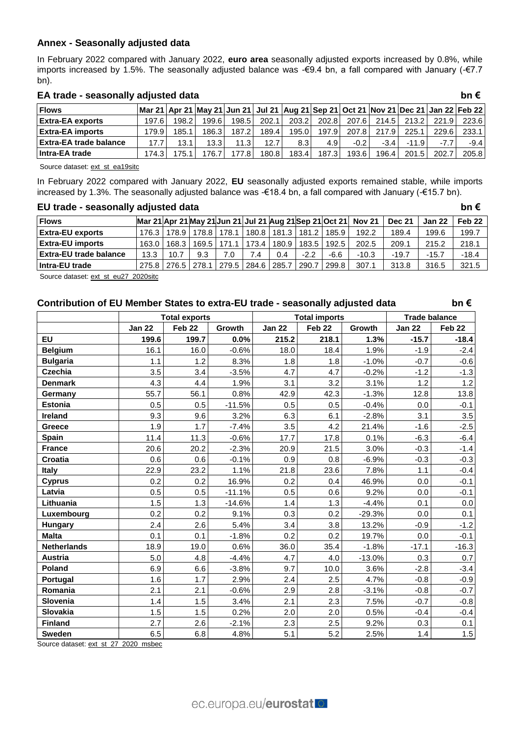# **Annex - Seasonally adjusted data**

In February 2022 compared with January 2022, **euro area** seasonally adjusted exports increased by 0.8%, while imports increased by 1.5%. The seasonally adjusted balance was -€9.4 bn, a fall compared with January (-€7.7 bn).

## **EA trade - seasonally adjusted data bn €**

| <b>Flows</b>            | Mar 21   Apr 21   May 21   Jun 21   Jul 21   Aug 21   Sep 21   Oct 21   Nov 21   Dec 21   Jan 22   Feb 22 |       |        |         |       |       |        |        |        |         |        |        |
|-------------------------|-----------------------------------------------------------------------------------------------------------|-------|--------|---------|-------|-------|--------|--------|--------|---------|--------|--------|
| <b>Extra-EA exports</b> | 197.61                                                                                                    | 198.2 | 199.6  | 198.5   | 202.1 | 203.2 | 202.8  | 207.61 | 214.5  | 213.2   | 221.9  | 223.6  |
| <b>Extra-EA imports</b> | 179.91                                                                                                    | 185.1 | 186.31 | 187.2   | 189.4 | 195.0 | 197.91 | 207.8  | 217.9  | 225.1   | 229.6  | 233.11 |
| Extra-EA trade balance  | 17.7                                                                                                      | 13.1  | 13.3   | 11.3    | 12.7  | 8.3   | 4.9'   | $-0.2$ | $-3.4$ | $-11.9$ | $-7.7$ | $-9.4$ |
| Intra-EA trade          | 174.31                                                                                                    | 75.   | 176.7  | 177.8 I | 180.8 | 183.4 | 187.3  | 193.61 | 196.4  | 201.5   | 202.7  | 205.8  |

Source dataset: [ext\\_st\\_ea19sitc](https://ec.europa.eu/eurostat/databrowser/bookmark/57e1b094-c5e4-4e31-a997-0c5f5da2aab5?lang=en)

In February 2022 compared with January 2022, **EU** seasonally adjusted exports remained stable, while imports increased by 1.3%. The seasonally adjusted balance was -€18.4 bn, a fall compared with January (-€15.7 bn).

## **EU trade - seasonally adjusted data bn €**

| <b>Flows</b>            |                 |             |       |                        |       |               |        |       | Mar 21 Apr 21 May 21 Jun 21 Jul 21 Aug 21 Sep 21 Oct 21 Nov 21 | <b>Dec 21</b> | <b>Jan 22</b> | Feb 22  |
|-------------------------|-----------------|-------------|-------|------------------------|-------|---------------|--------|-------|----------------------------------------------------------------|---------------|---------------|---------|
| <b>Extra-EU exports</b> | $176.3 \square$ | 178.9       | 178.8 | 178.1                  |       | 180.8   181.3 | 181.2  | 185.9 | 192.2                                                          | 189.4         | 199.6         | 199.7   |
| <b>Extra-EU imports</b> | 163.0           | 168.3       | 169.5 | 171.<br>$\overline{1}$ | 173.4 | 180.9         | 183.5  | 192.5 | 202.5                                                          | 209.1         | 215.2         | 218.1   |
| Extra-EU trade balance  | 13.3            | 10.7        | 9.3   | 7.0                    | 7.4   | 0.4           | $-2.2$ | -6.6  | $-10.3$                                                        | $-19.7$       | $-15.7$       | $-18.4$ |
| Intra-EU trade          |                 | 275.8 276.5 | 278.1 | 279.5                  | 284.6 | 285.7         | 290.   | 299.8 | 307.1                                                          | 313.8         | 316.5         | 321.5   |

Source dataset[: ext\\_st\\_eu27\\_2020sitc](https://ec.europa.eu/eurostat/databrowser/bookmark/dc220669-f101-4cbc-aab4-dd5a3359124d?lang=en)

# **Contribution of EU Member States to extra-EU trade - seasonally adjusted data bn €**

|                    |               | <b>Total exports</b> |          |               | <b>Total imports</b> |          | <b>Trade balance</b> |                   |  |  |
|--------------------|---------------|----------------------|----------|---------------|----------------------|----------|----------------------|-------------------|--|--|
|                    | <b>Jan 22</b> | Feb 22               | Growth   | <b>Jan 22</b> | Feb 22               | Growth   | <b>Jan 22</b>        | Feb <sub>22</sub> |  |  |
| <b>EU</b>          | 199.6         | 199.7                | 0.0%     | 215.2         | 218.1                | 1.3%     | $-15.7$              | $-18.4$           |  |  |
| <b>Belgium</b>     | 16.1          | 16.0                 | $-0.6%$  | 18.0          | 18.4                 | 1.9%     | $-1.9$               | $-2.4$            |  |  |
| <b>Bulgaria</b>    | 1.1           | 1.2                  | 8.3%     | 1.8           | 1.8                  | $-1.0%$  | $-0.7$               | $-0.6$            |  |  |
| <b>Czechia</b>     | 3.5           | 3.4                  | $-3.5%$  | 4.7           | 4.7                  | $-0.2%$  | $-1.2$               | $-1.3$            |  |  |
| <b>Denmark</b>     | 4.3           | 4.4                  | 1.9%     | 3.1           | 3.2                  | 3.1%     | 1.2                  | $1.2$             |  |  |
| Germany            | 55.7          | 56.1                 | 0.8%     | 42.9          | 42.3                 | $-1.3%$  | 12.8                 | 13.8              |  |  |
| <b>Estonia</b>     | 0.5           | 0.5                  | $-11.5%$ | 0.5           | 0.5                  | $-0.4%$  | 0.0                  | $-0.1$            |  |  |
| Ireland            | 9.3           | 9.6                  | 3.2%     | 6.3           | 6.1                  | $-2.8%$  | 3.1                  | 3.5               |  |  |
| Greece             | 1.9           | 1.7                  | $-7.4%$  | 3.5           | 4.2                  | 21.4%    | $-1.6$               | $-2.5$            |  |  |
| <b>Spain</b>       | 11.4          | 11.3                 | $-0.6%$  | 17.7          | 17.8                 | 0.1%     | $-6.3$               | $-6.4$            |  |  |
| <b>France</b>      | 20.6          | 20.2                 | $-2.3%$  | 20.9          | 21.5                 | 3.0%     | $-0.3$               | $-1.4$            |  |  |
| Croatia            | 0.6           | 0.6                  | $-0.1%$  | 0.9           | 0.8                  | $-6.9%$  | $-0.3$               | $-0.3$            |  |  |
| <b>Italy</b>       | 22.9          | 23.2                 | 1.1%     | 21.8          | 23.6                 | 7.8%     | 1.1                  | $-0.4$            |  |  |
| <b>Cyprus</b>      | 0.2           | 0.2                  | 16.9%    | 0.2           | 0.4                  | 46.9%    | 0.0                  | $-0.1$            |  |  |
| Latvia             | 0.5           | 0.5                  | $-11.1%$ | 0.5           | 0.6                  | 9.2%     | 0.0                  | $-0.1$            |  |  |
| Lithuania          | 1.5           | 1.3                  | $-14.6%$ | 1.4           | 1.3                  | $-4.4%$  | 0.1                  | 0.0               |  |  |
| Luxembourg         | 0.2           | 0.2                  | 9.1%     | 0.3           | 0.2                  | $-29.3%$ | 0.0                  | 0.1               |  |  |
| <b>Hungary</b>     | 2.4           | 2.6                  | 5.4%     | 3.4           | 3.8                  | 13.2%    | $-0.9$               | $-1.2$            |  |  |
| <b>Malta</b>       | 0.1           | 0.1                  | $-1.8%$  | 0.2           | 0.2                  | 19.7%    | 0.0                  | $-0.1$            |  |  |
| <b>Netherlands</b> | 18.9          | 19.0                 | 0.6%     | 36.0          | 35.4                 | $-1.8%$  | $-17.1$              | $-16.3$           |  |  |
| Austria            | 5.0           | 4.8                  | $-4.4%$  | 4.7           | 4.0                  | $-13.0%$ | 0.3                  | 0.7               |  |  |
| <b>Poland</b>      | 6.9           | 6.6                  | $-3.8%$  | 9.7           | 10.0                 | 3.6%     | $-2.8$               | $-3.4$            |  |  |
| Portugal           | 1.6           | 1.7                  | 2.9%     | 2.4           | 2.5                  | 4.7%     | $-0.8$               | $-0.9$            |  |  |
| Romania            | 2.1           | 2.1                  | $-0.6%$  | 2.9           | 2.8                  | $-3.1%$  | $-0.8$               | $-0.7$            |  |  |
| Slovenia           | 1.4           | 1.5                  | 3.4%     | 2.1           | 2.3                  | 7.5%     | $-0.7$               | $-0.8$            |  |  |
| Slovakia           | 1.5           | 1.5                  | 0.2%     | 2.0           | 2.0                  | 0.5%     | $-0.4$               | $-0.4$            |  |  |
| <b>Finland</b>     | 2.7           | 2.6                  | $-2.1%$  | 2.3           | 2.5                  | 9.2%     | 0.3                  | 0.1               |  |  |
| Sweden             | 6.5           | 6.8                  | 4.8%     | 5.1           | 5.2                  | 2.5%     | 1.4                  | 1.5               |  |  |

Source dataset: [ext\\_st\\_27\\_2020\\_msbec](https://ec.europa.eu/eurostat/databrowser/bookmark/517ff550-4ca0-4138-bbb7-adff88edb9bc?lang=en)